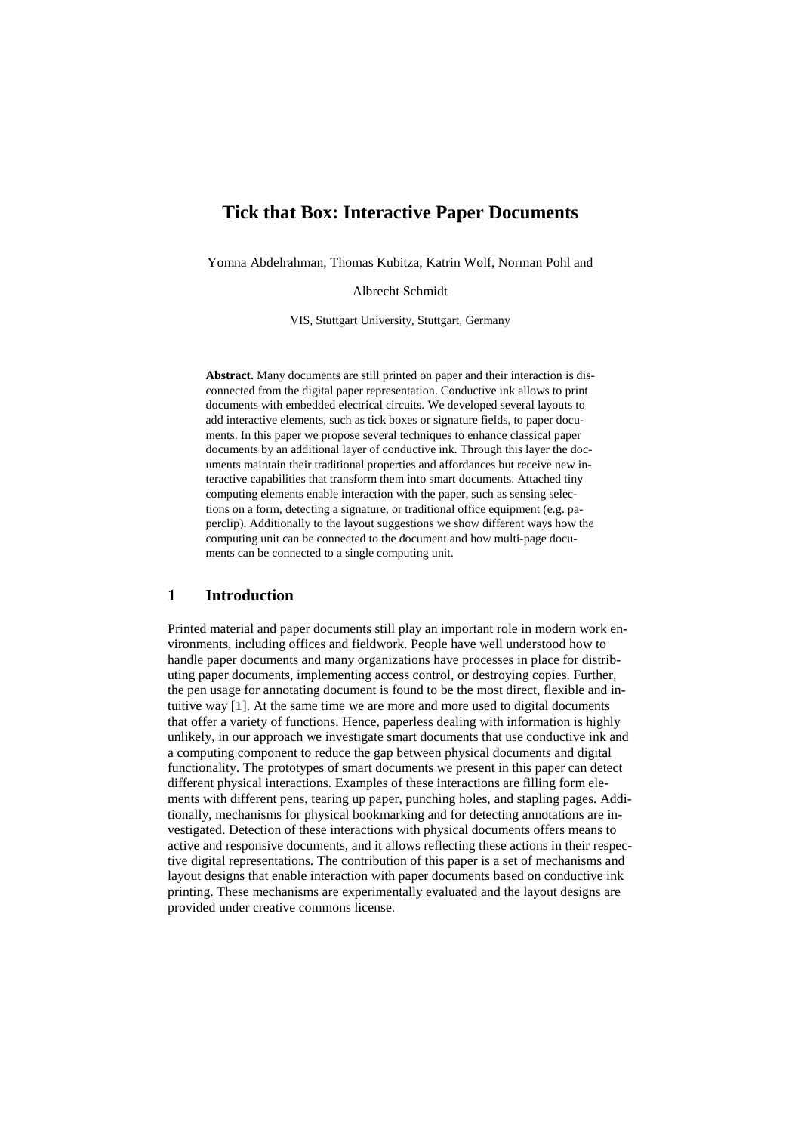# **Tick that Box: Interactive Paper Documents**

Yomna Abdelrahman, Thomas Kubitza, Katrin Wolf, Norman Pohl and

Albrecht Schmidt

VIS, Stuttgart University, Stuttgart, Germany

**Abstract.** Many documents are still printed on paper and their interaction is disconnected from the digital paper representation. Conductive ink allows to print documents with embedded electrical circuits. We developed several layouts to add interactive elements, such as tick boxes or signature fields, to paper documents. In this paper we propose several techniques to enhance classical paper documents by an additional layer of conductive ink. Through this layer the documents maintain their traditional properties and affordances but receive new interactive capabilities that transform them into smart documents. Attached tiny computing elements enable interaction with the paper, such as sensing selections on a form, detecting a signature, or traditional office equipment (e.g. paperclip). Additionally to the layout suggestions we show different ways how the computing unit can be connected to the document and how multi-page documents can be connected to a single computing unit.

### **1 Introduction**

Printed material and paper documents still play an important role in modern work environments, including offices and fieldwork. People have well understood how to handle paper documents and many organizations have processes in place for distributing paper documents, implementing access control, or destroying copies. Further, the pen usage for annotating document is found to be the most direct, flexible and intuitive way [1]. At the same time we are more and more used to digital documents that offer a variety of functions. Hence, paperless dealing with information is highly unlikely, in our approach we investigate smart documents that use conductive ink and a computing component to reduce the gap between physical documents and digital functionality. The prototypes of smart documents we present in this paper can detect different physical interactions. Examples of these interactions are filling form elements with different pens, tearing up paper, punching holes, and stapling pages. Additionally, mechanisms for physical bookmarking and for detecting annotations are investigated. Detection of these interactions with physical documents offers means to active and responsive documents, and it allows reflecting these actions in their respective digital representations. The contribution of this paper is a set of mechanisms and layout designs that enable interaction with paper documents based on conductive ink printing. These mechanisms are experimentally evaluated and the layout designs are provided under creative commons license.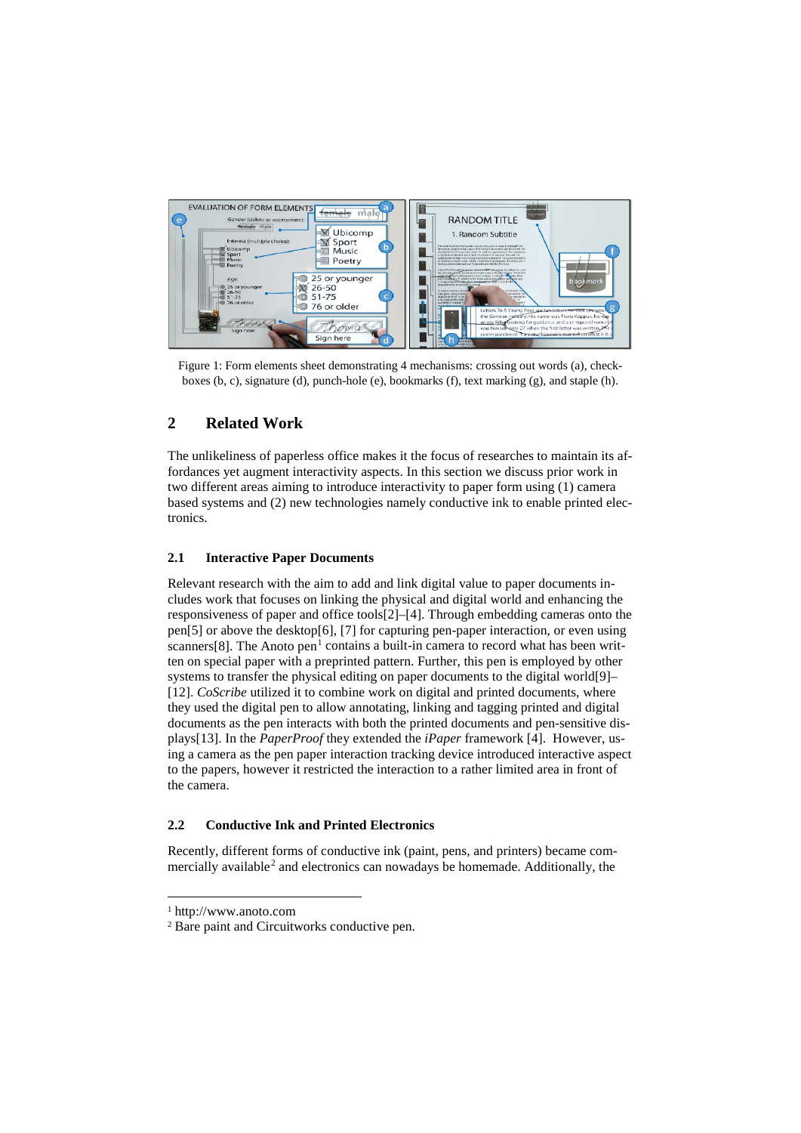

Figure 1: Form elements sheet demonstrating 4 mechanisms: crossing out words (a), checkboxes (b, c), signature (d), punch-hole (e), bookmarks (f), text marking (g), and staple (h).

# **2 Related Work**

The unlikeliness of paperless office makes it the focus of researches to maintain its affordances yet augment interactivity aspects. In this section we discuss prior work in two different areas aiming to introduce interactivity to paper form using (1) camera based systems and (2) new technologies namely conductive ink to enable printed electronics.

# **2.1 Interactive Paper Documents**

Relevant research with the aim to add and link digital value to paper documents includes work that focuses on linking the physical and digital world and enhancing the responsiveness of paper and office tools[2]–[4]. Through embedding cameras onto the  $pen[5]$  or above the desktop[6], [7] for capturing pen-paper interaction, or even using scanners[8]. The Anoto pen<sup>[1](#page-1-0)</sup> contains a built-in camera to record what has been written on special paper with a preprinted pattern. Further, this pen is employed by other systems to transfer the physical editing on paper documents to the digital world[9]– [12]. *CoScribe* utilized it to combine work on digital and printed documents, where they used the digital pen to allow annotating, linking and tagging printed and digital documents as the pen interacts with both the printed documents and pen-sensitive displays[13]. In the *PaperProof* they extended the *iPaper* framework [4]. However, using a camera as the pen paper interaction tracking device introduced interactive aspect to the papers, however it restricted the interaction to a rather limited area in front of the camera.

### **2.2 Conductive Ink and Printed Electronics**

Recently, different forms of conductive ink (paint, pens, and printers) became com-mercially available<sup>[2](#page-1-1)</sup> and electronics can nowadays be homemade. Additionally, the

<span id="page-1-0"></span> <sup>1</sup> http://www.anoto.com

<span id="page-1-1"></span><sup>2</sup> Bare paint and Circuitworks conductive pen.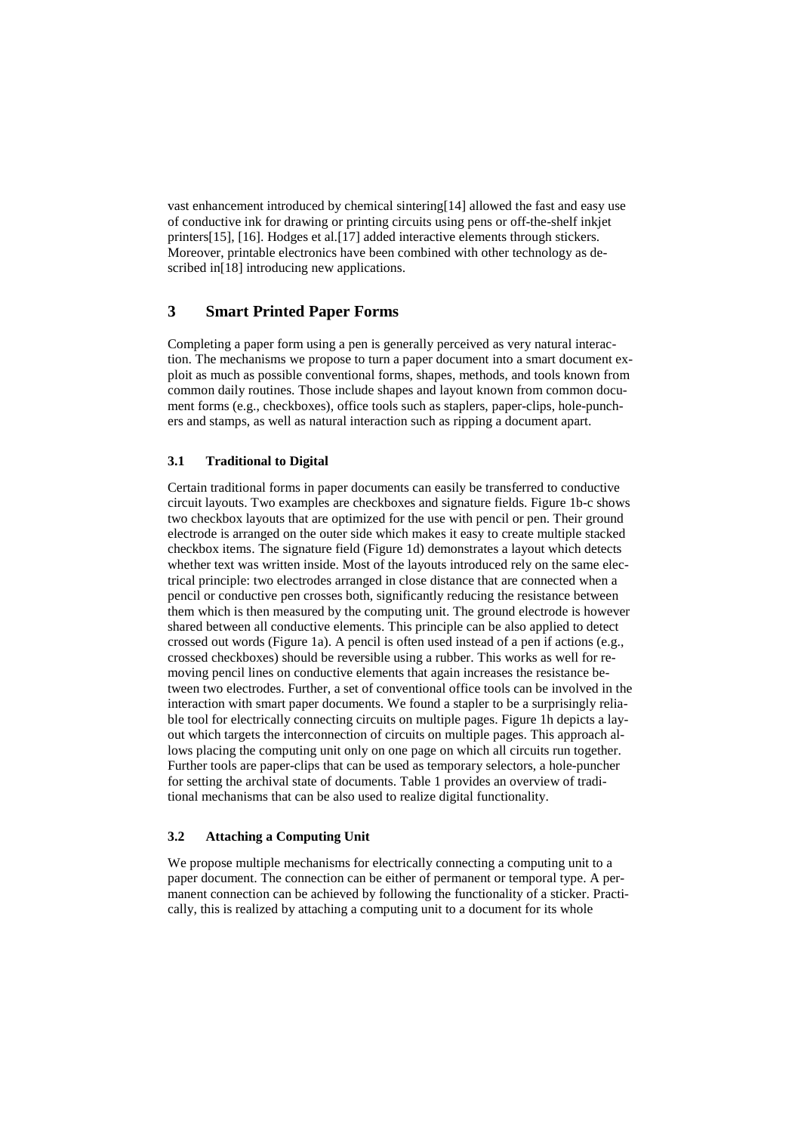vast enhancement introduced by chemical sintering[14] allowed the fast and easy use of conductive ink for drawing or printing circuits using pens or off-the-shelf inkjet printers[15], [16]. Hodges et al.[17] added interactive elements through stickers. Moreover, printable electronics have been combined with other technology as described in [18] introducing new applications.

# **3 Smart Printed Paper Forms**

Completing a paper form using a pen is generally perceived as very natural interaction. The mechanisms we propose to turn a paper document into a smart document exploit as much as possible conventional forms, shapes, methods, and tools known from common daily routines. Those include shapes and layout known from common document forms (e.g., checkboxes), office tools such as staplers, paper-clips, hole-punchers and stamps, as well as natural interaction such as ripping a document apart.

#### **3.1 Traditional to Digital**

Certain traditional forms in paper documents can easily be transferred to conductive circuit layouts. Two examples are checkboxes and signature fields. Figure 1b-c shows two checkbox layouts that are optimized for the use with pencil or pen. Their ground electrode is arranged on the outer side which makes it easy to create multiple stacked checkbox items. The signature field (Figure 1d) demonstrates a layout which detects whether text was written inside. Most of the layouts introduced rely on the same electrical principle: two electrodes arranged in close distance that are connected when a pencil or conductive pen crosses both, significantly reducing the resistance between them which is then measured by the computing unit. The ground electrode is however shared between all conductive elements. This principle can be also applied to detect crossed out words (Figure 1a). A pencil is often used instead of a pen if actions (e.g., crossed checkboxes) should be reversible using a rubber. This works as well for removing pencil lines on conductive elements that again increases the resistance between two electrodes. Further, a set of conventional office tools can be involved in the interaction with smart paper documents. We found a stapler to be a surprisingly reliable tool for electrically connecting circuits on multiple pages. Figure 1h depicts a layout which targets the interconnection of circuits on multiple pages. This approach allows placing the computing unit only on one page on which all circuits run together. Further tools are paper-clips that can be used as temporary selectors, a hole-puncher for setting the archival state of documents. Table 1 provides an overview of traditional mechanisms that can be also used to realize digital functionality.

#### **3.2 Attaching a Computing Unit**

We propose multiple mechanisms for electrically connecting a computing unit to a paper document. The connection can be either of permanent or temporal type. A permanent connection can be achieved by following the functionality of a sticker. Practically, this is realized by attaching a computing unit to a document for its whole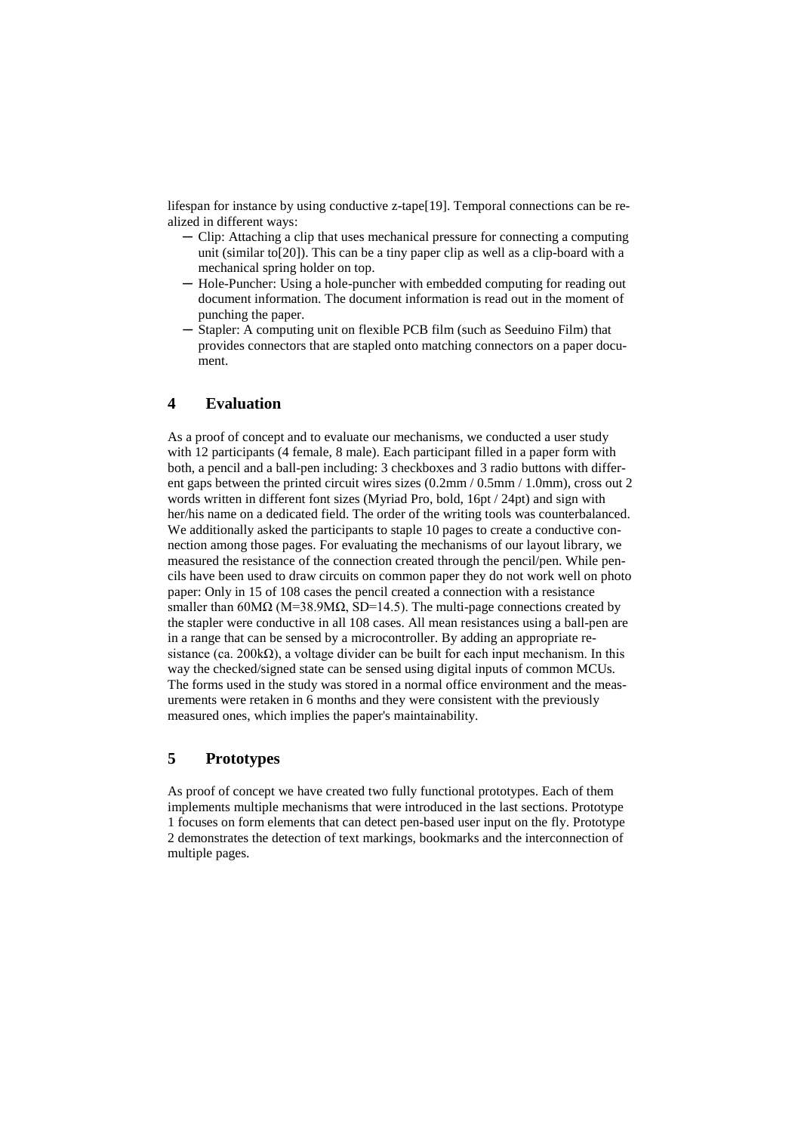lifespan for instance by using conductive z-tape[19]. Temporal connections can be realized in different ways:

- ─ Clip: Attaching a clip that uses mechanical pressure for connecting a computing unit (similar to[20]). This can be a tiny paper clip as well as a clip-board with a mechanical spring holder on top.
- ─ Hole-Puncher: Using a hole-puncher with embedded computing for reading out document information. The document information is read out in the moment of punching the paper.
- ─ Stapler: A computing unit on flexible PCB film (such as Seeduino Film) that provides connectors that are stapled onto matching connectors on a paper document.

# **4 Evaluation**

As a proof of concept and to evaluate our mechanisms, we conducted a user study with 12 participants (4 female, 8 male). Each participant filled in a paper form with both, a pencil and a ball-pen including: 3 checkboxes and 3 radio buttons with different gaps between the printed circuit wires sizes (0.2mm / 0.5mm / 1.0mm), cross out 2 words written in different font sizes (Myriad Pro, bold, 16pt / 24pt) and sign with her/his name on a dedicated field. The order of the writing tools was counterbalanced. We additionally asked the participants to staple 10 pages to create a conductive connection among those pages. For evaluating the mechanisms of our layout library, we measured the resistance of the connection created through the pencil/pen. While pencils have been used to draw circuits on common paper they do not work well on photo paper: Only in 15 of 108 cases the pencil created a connection with a resistance smaller than  $60M\Omega$  (M=38.9M $\Omega$ , SD=14.5). The multi-page connections created by the stapler were conductive in all 108 cases. All mean resistances using a ball-pen are in a range that can be sensed by a microcontroller. By adding an appropriate resistance (ca. 200kΩ), a voltage divider can be built for each input mechanism. In this way the checked/signed state can be sensed using digital inputs of common MCUs. The forms used in the study was stored in a normal office environment and the measurements were retaken in 6 months and they were consistent with the previously measured ones, which implies the paper's maintainability.

# **5 Prototypes**

As proof of concept we have created two fully functional prototypes. Each of them implements multiple mechanisms that were introduced in the last sections. Prototype 1 focuses on form elements that can detect pen-based user input on the fly. Prototype 2 demonstrates the detection of text markings, bookmarks and the interconnection of multiple pages.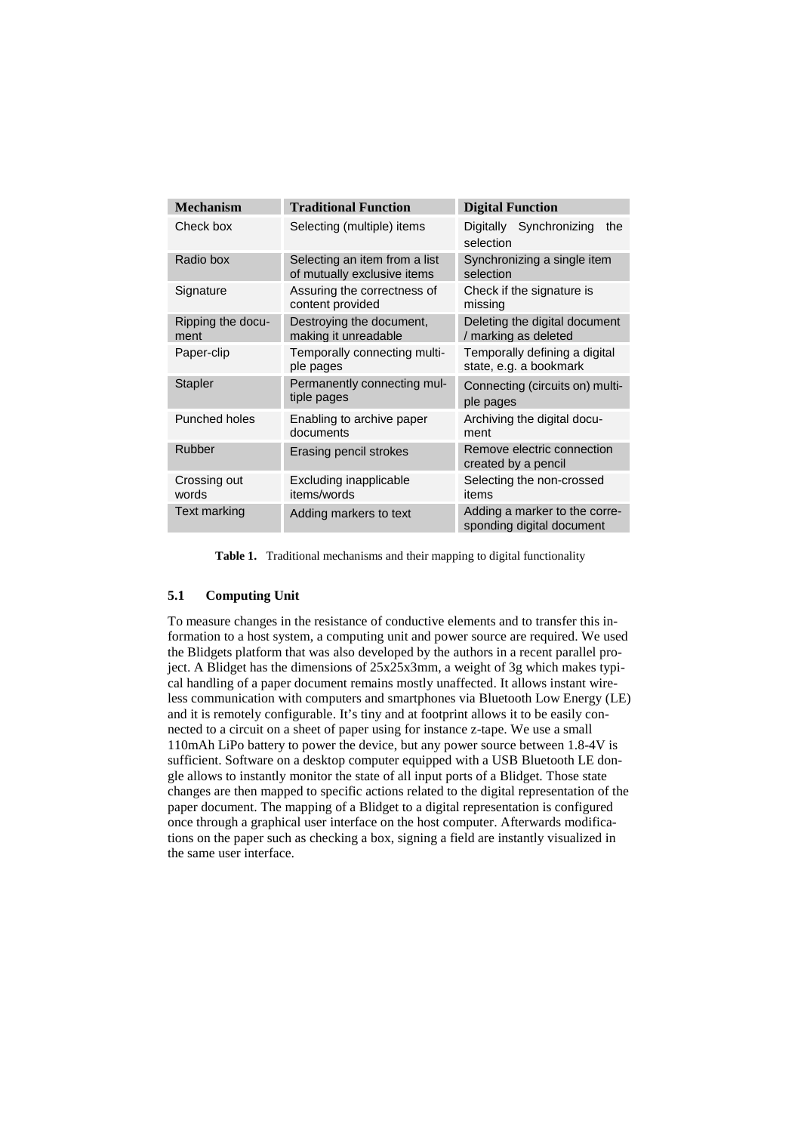| <b>Mechanism</b>          | <b>Traditional Function</b>                                  | <b>Digital Function</b>                                    |
|---------------------------|--------------------------------------------------------------|------------------------------------------------------------|
| Check box                 | Selecting (multiple) items                                   | Digitally Synchronizing<br>the<br>selection                |
| Radio box                 | Selecting an item from a list<br>of mutually exclusive items | Synchronizing a single item<br>selection                   |
| Signature                 | Assuring the correctness of<br>content provided              | Check if the signature is<br>missina                       |
| Ripping the docu-<br>ment | Destroying the document,<br>making it unreadable             | Deleting the digital document<br>/ marking as deleted      |
| Paper-clip                | Temporally connecting multi-<br>ple pages                    | Temporally defining a digital<br>state, e.g. a bookmark    |
| <b>Stapler</b>            | Permanently connecting mul-<br>tiple pages                   | Connecting (circuits on) multi-<br>ple pages               |
| <b>Punched holes</b>      | Enabling to archive paper<br>documents                       | Archiving the digital docu-<br>ment                        |
| Rubber                    | Erasing pencil strokes                                       | Remove electric connection<br>created by a pencil          |
| Crossing out<br>words     | Excluding inapplicable<br>items/words                        | Selecting the non-crossed<br>items                         |
| Text marking              | Adding markers to text                                       | Adding a marker to the corre-<br>sponding digital document |

**Table 1.** Traditional mechanisms and their mapping to digital functionality

#### **5.1 Computing Unit**

To measure changes in the resistance of conductive elements and to transfer this information to a host system, a computing unit and power source are required. We used the Blidgets platform that was also developed by the authors in a recent parallel project. A Blidget has the dimensions of 25x25x3mm, a weight of 3g which makes typical handling of a paper document remains mostly unaffected. It allows instant wireless communication with computers and smartphones via Bluetooth Low Energy (LE) and it is remotely configurable. It's tiny and at footprint allows it to be easily connected to a circuit on a sheet of paper using for instance z-tape. We use a small 110mAh LiPo battery to power the device, but any power source between 1.8-4V is sufficient. Software on a desktop computer equipped with a USB Bluetooth LE dongle allows to instantly monitor the state of all input ports of a Blidget. Those state changes are then mapped to specific actions related to the digital representation of the paper document. The mapping of a Blidget to a digital representation is configured once through a graphical user interface on the host computer. Afterwards modifications on the paper such as checking a box, signing a field are instantly visualized in the same user interface.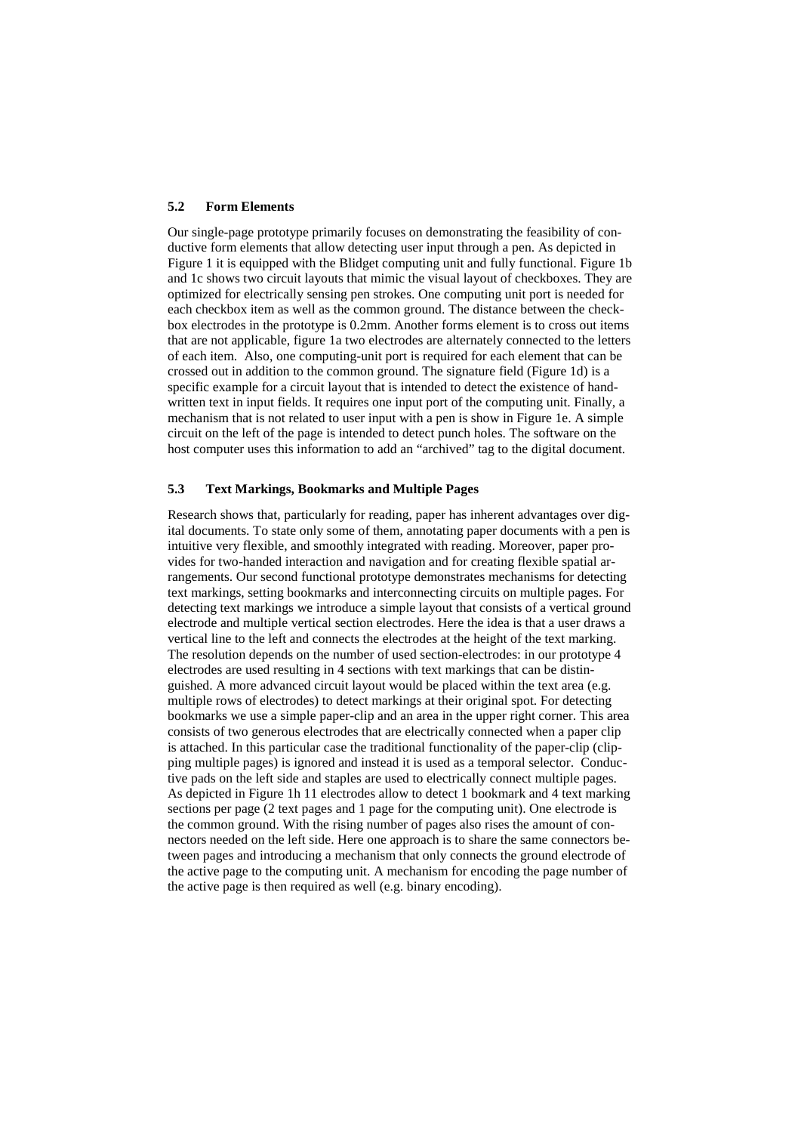#### **5.2 Form Elements**

Our single-page prototype primarily focuses on demonstrating the feasibility of conductive form elements that allow detecting user input through a pen. As depicted in Figure 1 it is equipped with the Blidget computing unit and fully functional. Figure 1b and 1c shows two circuit layouts that mimic the visual layout of checkboxes. They are optimized for electrically sensing pen strokes. One computing unit port is needed for each checkbox item as well as the common ground. The distance between the checkbox electrodes in the prototype is 0.2mm. Another forms element is to cross out items that are not applicable, figure 1a two electrodes are alternately connected to the letters of each item. Also, one computing-unit port is required for each element that can be crossed out in addition to the common ground. The signature field (Figure 1d) is a specific example for a circuit layout that is intended to detect the existence of handwritten text in input fields. It requires one input port of the computing unit. Finally, a mechanism that is not related to user input with a pen is show in Figure 1e. A simple circuit on the left of the page is intended to detect punch holes. The software on the host computer uses this information to add an "archived" tag to the digital document.

#### **5.3 Text Markings, Bookmarks and Multiple Pages**

Research shows that, particularly for reading, paper has inherent advantages over digital documents. To state only some of them, annotating paper documents with a pen is intuitive very flexible, and smoothly integrated with reading. Moreover, paper provides for two-handed interaction and navigation and for creating flexible spatial arrangements. Our second functional prototype demonstrates mechanisms for detecting text markings, setting bookmarks and interconnecting circuits on multiple pages. For detecting text markings we introduce a simple layout that consists of a vertical ground electrode and multiple vertical section electrodes. Here the idea is that a user draws a vertical line to the left and connects the electrodes at the height of the text marking. The resolution depends on the number of used section-electrodes: in our prototype 4 electrodes are used resulting in 4 sections with text markings that can be distinguished. A more advanced circuit layout would be placed within the text area (e.g. multiple rows of electrodes) to detect markings at their original spot. For detecting bookmarks we use a simple paper-clip and an area in the upper right corner. This area consists of two generous electrodes that are electrically connected when a paper clip is attached. In this particular case the traditional functionality of the paper-clip (clipping multiple pages) is ignored and instead it is used as a temporal selector. Conductive pads on the left side and staples are used to electrically connect multiple pages. As depicted in Figure 1h 11 electrodes allow to detect 1 bookmark and 4 text marking sections per page (2 text pages and 1 page for the computing unit). One electrode is the common ground. With the rising number of pages also rises the amount of connectors needed on the left side. Here one approach is to share the same connectors between pages and introducing a mechanism that only connects the ground electrode of the active page to the computing unit. A mechanism for encoding the page number of the active page is then required as well (e.g. binary encoding).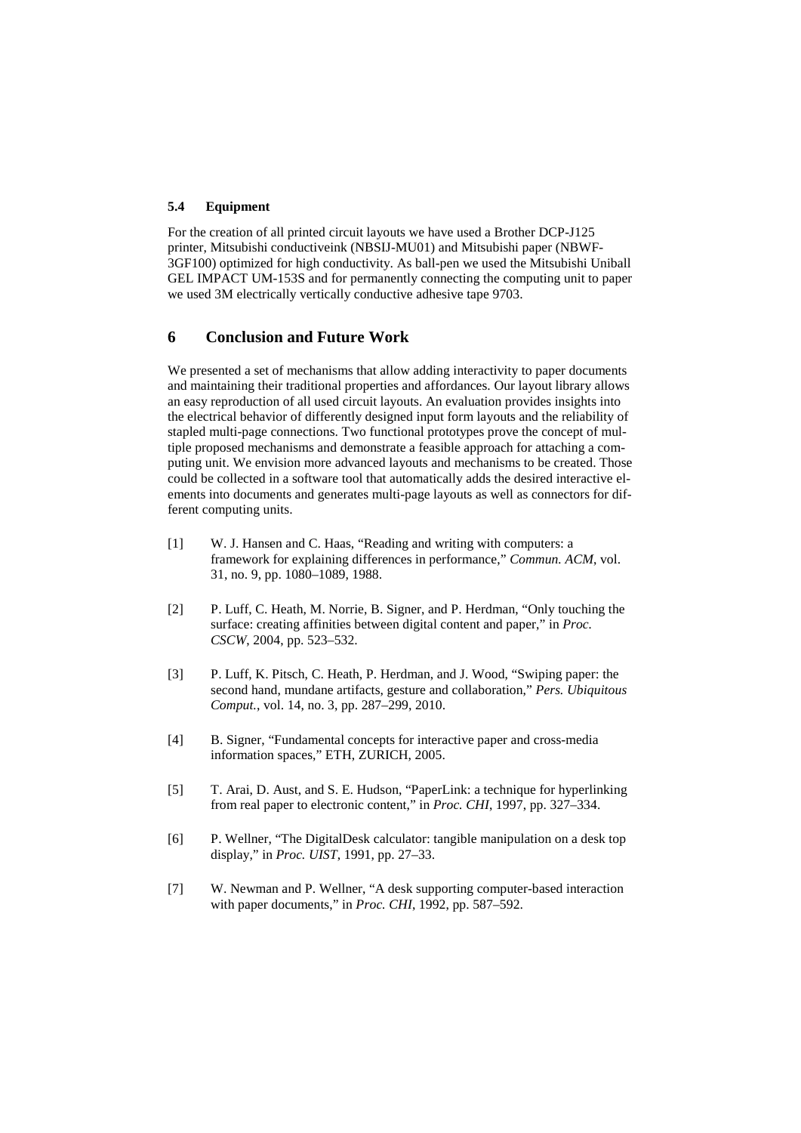### **5.4 Equipment**

For the creation of all printed circuit layouts we have used a Brother DCP-J125 printer, Mitsubishi conductiveink (NBSIJ-MU01) and Mitsubishi paper (NBWF-3GF100) optimized for high conductivity. As ball-pen we used the Mitsubishi Uniball GEL IMPACT UM-153S and for permanently connecting the computing unit to paper we used 3M electrically vertically conductive adhesive tape 9703.

### **6 Conclusion and Future Work**

We presented a set of mechanisms that allow adding interactivity to paper documents and maintaining their traditional properties and affordances. Our layout library allows an easy reproduction of all used circuit layouts. An evaluation provides insights into the electrical behavior of differently designed input form layouts and the reliability of stapled multi-page connections. Two functional prototypes prove the concept of multiple proposed mechanisms and demonstrate a feasible approach for attaching a computing unit. We envision more advanced layouts and mechanisms to be created. Those could be collected in a software tool that automatically adds the desired interactive elements into documents and generates multi-page layouts as well as connectors for different computing units.

- [1] W. J. Hansen and C. Haas, "Reading and writing with computers: a framework for explaining differences in performance," *Commun. ACM*, vol. 31, no. 9, pp. 1080–1089, 1988.
- [2] P. Luff, C. Heath, M. Norrie, B. Signer, and P. Herdman, "Only touching the surface: creating affinities between digital content and paper," in *Proc. CSCW*, 2004, pp. 523–532.
- [3] P. Luff, K. Pitsch, C. Heath, P. Herdman, and J. Wood, "Swiping paper: the second hand, mundane artifacts, gesture and collaboration," *Pers. Ubiquitous Comput.*, vol. 14, no. 3, pp. 287–299, 2010.
- [4] B. Signer, "Fundamental concepts for interactive paper and cross-media information spaces," ETH, ZURICH, 2005.
- [5] T. Arai, D. Aust, and S. E. Hudson, "PaperLink: a technique for hyperlinking from real paper to electronic content," in *Proc. CHI*, 1997, pp. 327–334.
- [6] P. Wellner, "The DigitalDesk calculator: tangible manipulation on a desk top display," in *Proc. UIST*, 1991, pp. 27–33.
- [7] W. Newman and P. Wellner, "A desk supporting computer-based interaction with paper documents," in *Proc. CHI*, 1992, pp. 587–592.